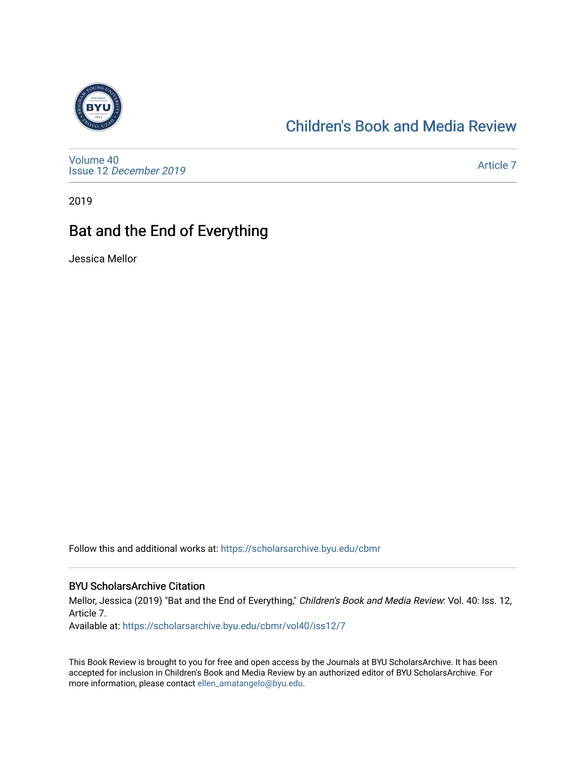

### [Children's Book and Media Review](https://scholarsarchive.byu.edu/cbmr)

[Volume 40](https://scholarsarchive.byu.edu/cbmr/vol40) Issue 12 [December 2019](https://scholarsarchive.byu.edu/cbmr/vol40/iss12)

[Article 7](https://scholarsarchive.byu.edu/cbmr/vol40/iss12/7) 

2019

# Bat and the End of Everything

Jessica Mellor

Follow this and additional works at: [https://scholarsarchive.byu.edu/cbmr](https://scholarsarchive.byu.edu/cbmr?utm_source=scholarsarchive.byu.edu%2Fcbmr%2Fvol40%2Fiss12%2F7&utm_medium=PDF&utm_campaign=PDFCoverPages) 

#### BYU ScholarsArchive Citation

Mellor, Jessica (2019) "Bat and the End of Everything," Children's Book and Media Review: Vol. 40: Iss. 12, Article 7.

Available at: [https://scholarsarchive.byu.edu/cbmr/vol40/iss12/7](https://scholarsarchive.byu.edu/cbmr/vol40/iss12/7?utm_source=scholarsarchive.byu.edu%2Fcbmr%2Fvol40%2Fiss12%2F7&utm_medium=PDF&utm_campaign=PDFCoverPages)

This Book Review is brought to you for free and open access by the Journals at BYU ScholarsArchive. It has been accepted for inclusion in Children's Book and Media Review by an authorized editor of BYU ScholarsArchive. For more information, please contact [ellen\\_amatangelo@byu.edu.](mailto:ellen_amatangelo@byu.edu)